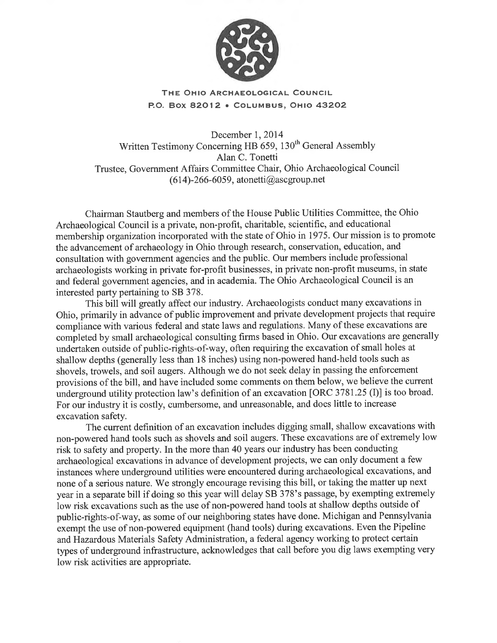

# THE OHIO ARCHAEOLOGICAL COUNCIL P.O. Box 82012 . COLUMBUS, OHIO 43202

December 1, 2014 Written Testimony Concerning HB 659, 130<sup>th</sup> General Assembly Alan C. Tonetti Trustee, Government Affairs Committee Chair, Ohio Archaeological Council (614)-266-6059, atonetti@ascgroup.net

Chairman Stautberg and members of the House Public Utilities Committee, the Ohio Archaeological Council is a private, non-profit, charitable, scientific, and educational membership organization incorporated with the state of Ohio in 1975. Our mission is to promote the advancement of archaeology in Ohio through research, conservation, education, and consultation with government agencies and the public. Our members include professional archaeologists working in private for-profit businesses, in private non-profit museums, in state and federal government agencies, and in academia. The Ohio Archaeological Council is an interested party pertaining to SB 378.

This bill will greatly affect our industry. Archaeologists conduct many excavations in Ohio, primarily in advance of public improvement and private development projects that require compliance with various federal and state laws and regulations. Many of these excavations are completed by small archaeological consulting firms based in Ohio. Our excavations are generally undertaken outside of public-rights-of-way, often requiring the excavation of small holes at shallow depths (generally less than 18 inches) using non-powered hand-held tools such as shovels, trowels, and soil augers. Although we do not seek delay in passing the enforcement provisions of the bill, and have included some comments on them below, we believe the current underground utility protection law's definition of an excavation [ORC 3781.25 (I)] is too broad. For our industry it is costly, cumbersome, and unreasonable, and does little to increase excavation safety.

The current definition of an excavation includes digging small, shallow excavations with non-powered hand tools such as shovels and soil augers. These excavations are of extremely low risk to safety and property. In the more than 40 years our industry has been conducting archaeological excavations in advance of development projects, we can only document a few instances where underground utilities were encountered during archaeological excavations, and none of a serious nature. We strongly encourage revising this bill, or taking the matter up next year in a separate bill if doing so this year will delay SB 378's passage, by exempting extremely low risk excavations such as the use of non-powered hand tools at shallow depths outside of public-rights-of-way, as some of our neighboring states have done. Michigan and Pennsylvania exempt the use of non-powered equipment (hand tools) during excavations. Even the Pipeline and Hazardous Materials Safety Administration, a federal agency working to protect certain types of underground infrastructure, acknowledges that call before you dig laws exempting very low risk activities are appropriate.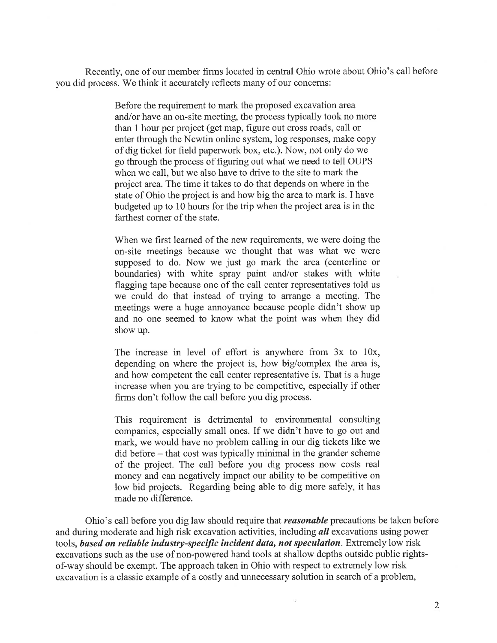Recently, one of our member firms located in central Ohio wrote about Ohio's call before you did process. We think it accurately reflects many of our concerns:

> Before the requirement to mark the proposed excavation area and/or have an on-site meeting, the process typically took no more than 1 hour per project (get map, figure out cross roads, call or enter through the Newtin online system, log responses, make copy of dig ticket for field paperwork box, etc.). Now, not only do we go through the process of figuring out what we need to tell OUPS when we call, but we also have to drive to the site to mark the project area. The time it takes to do that depends on where in the state of Ohio the project is and how big the area to mark is. I have budgeted up to 10 hours for the trip when the project area is in the farthest corner of the state.

When we first learned of the new requirements, we were doing the on-site meetings because we thought that was what we were supposed to do. Now we just go mark the area (centerline or boundaries) with white spray paint and/or stakes with white flagging tape because one of the call center representatives told us we could do that instead of trying to arrange a meeting. The meetings were a huge annoyance because people didn't show up and no one seemed to know what the point was when they did show up.

The increase in level of effort is anywhere from  $3x$  to  $10x$ , depending on where the project is, how big/complex the area is, and how competent the call center representative is. That is a huge increase when you are trying to be competitive, especially if other firms don't follow the call before you dig process.

This requirement is detrimental to environmental consulting companies, especially small ones. If we didn't have to go out and mark, we would have no problem calling in our dig tickets like we did before – that cost was typically minimal in the grander scheme of the project. The call before you dig process now costs real money and can negatively impact our ability to be competitive on low bid projects. Regarding being able to dig more safely, it has made no difference.

Ohio's call before you dig law should require that *reasonable* precautions be taken before and during moderate and high risk excavation activities, including all excavations using power tools, based on reliable industry-specific incident data, not speculation. Extremely low risk excavations such as the use of non-powered hand tools at shallow depths outside public rightsof-way should be exempt. The approach taken in Ohio with respect to extremely low risk excavation is a classic example of a costly and unnecessary solution in search of a problem,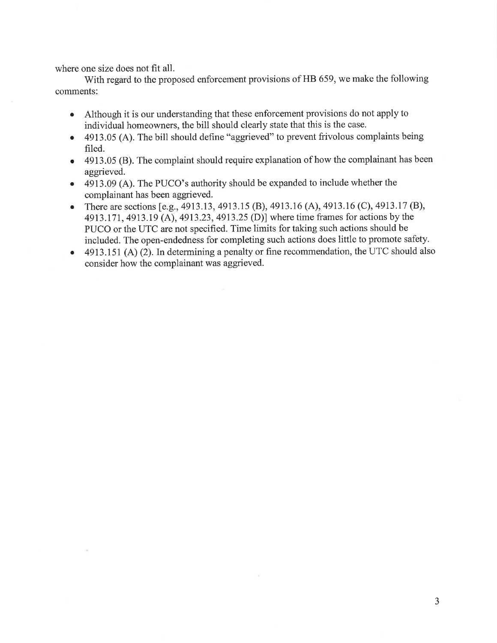where one size does not fit all.

With regard to the proposed enforcement provisions of HB 659, we make the following comments:

- Although it is our understanding that these enforcement provisions do not apply to  $\bullet$ individual homeowners, the bill should clearly state that this is the case.
- 4913.05 (A). The bill should define "aggrieved" to prevent frivolous complaints being  $\bullet$ filed.
- 4913.05 (B). The complaint should require explanation of how the complainant has been  $\bullet$ aggrieved.
- 4913.09 (A). The PUCO's authority should be expanded to include whether the complainant has been aggrieved.
- There are sections [e.g., 4913.13, 4913.15 (B), 4913.16 (A), 4913.16 (C), 4913.17 (B),  $\bullet$ 4913.171, 4913.19 (A), 4913.23, 4913.25 (D)] where time frames for actions by the PUCO or the UTC are not specified. Time limits for taking such actions should be included. The open-endedness for completing such actions does little to promote safety.
- 4913.151 (A) (2). In determining a penalty or fine recommendation, the UTC should also  $\bullet$ consider how the complainant was aggrieved.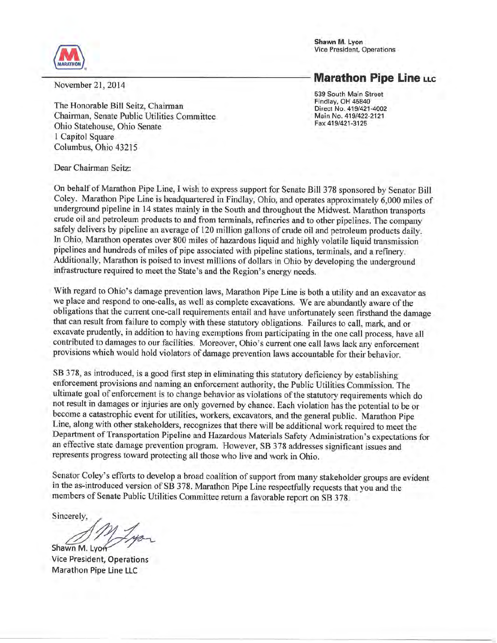Shawn M. Lyon Vice President, Operations



**Marathon Pipe Line LLC** 

November 21, 2014

The Honorable Bill Seitz, Chairman Chairman, Senate Public Utilities Committee Ohio Statehouse, Ohio Senate 1 Capitol Square Columbus, Ohio 43215

539 South Main Street Findlay, OH 45840 Direct No. 419/421-4002 Main No. 419/422-2121 Fax 419/421-3125

Dear Chairman Seitz:

On behalf of Marathon Pipe Line, I wish to express support for Senate Bill 378 sponsored by Senator Bill Coley. Marathon Pipe Line is headquartered in Findlay, Ohio, and operates approximately 6,000 miles of underground pipeline in 14 states mainly in the South and throughout the Midwest. Marathon transports crude oil and petroleum products to and from terminals, refineries and to other pipelines. The company safely delivers by pipeline an average of 120 million gallons of crude oil and petroleum products daily. In Ohio, Marathon operates over 800 miles of hazardous liquid and highly volatile liquid transmission pipelines and hundreds of miles of pipe associated with pipeline stations, terminals, and a refinery. Additionally, Marathon is poised to invest millions of dollars in Ohio by developing the underground infrastructure required to meet the State's and the Region's energy needs.

With regard to Ohio's damage prevention laws, Marathon Pipe Line is both a utility and an excavator as we place and respond to one-calls, as well as complete excavations. We are abundantly aware of the obligations that the current one-call requirements entail and have unfortunately seen firsthand the damage that can result from failure to comply with these statutory obligations. Failures to call, mark, and or excavate prudently, in addition to having exemptions from participating in the one call process, have all contributed to damages to our facilities. Moreover, Ohio's current one call laws lack any enforcement provisions which would hold violators of damage prevention laws accountable for their behavior.

SB 378, as introduced, is a good first step in eliminating this statutory deficiency by establishing enforcement provisions and naming an enforcement authority, the Public Utilities Commission. The ultimate goal of enforcement is to change behavior as violations of the statutory requirements which do not result in damages or injuries are only governed by chance. Each violation has the potential to be or become a catastrophic event for utilities, workers, excavators, and the general public. Marathon Pipe Line, along with other stakeholders, recognizes that there will be additional work required to meet the Department of Transportation Pipeline and Hazardous Materials Safety Administration's expectations for an effective state damage prevention program. However, SB 378 addresses significant issues and represents progress toward protecting all those who live and work in Ohio.

Senator Coley's efforts to develop a broad coalition of support from many stakeholder groups are evident in the as-introduced version of SB 378. Marathon Pipe Line respectfully requests that you and the members of Senate Public Utilities Committee return a favorable report on SB 378.

Sincerely,

Shawn M. Lyor

**Vice President, Operations** Marathon Pipe Line LLC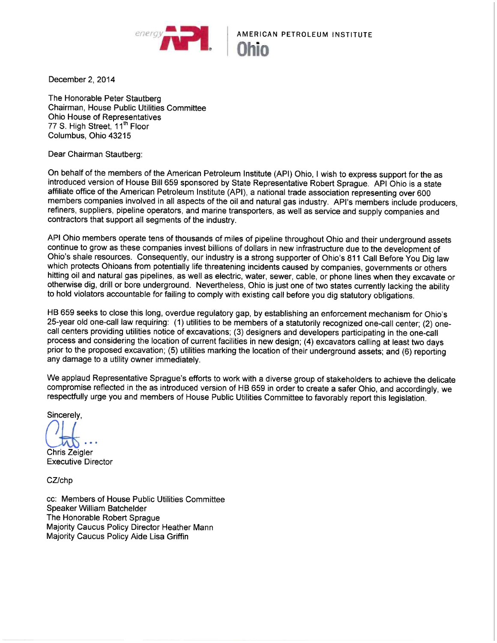

# **AMERICAN PETROLEUM INSTITUTE**

December 2, 2014

The Honorable Peter Stautberg Chairman, House Public Utilities Committee Ohio House of Representatives 77 S. High Street, 11<sup>th</sup> Floor Columbus, Ohio 43215

Dear Chairman Stautberg:

On behalf of the members of the American Petroleum Institute (API) Ohio, I wish to express support for the as introduced version of House Bill 659 sponsored by State Representative Robert Sprague. API Ohio is a state affiliate office of the American Petroleum Institute (API), a national trade association representing over 600 members companies involved in all aspects of the oil and natural gas industry. API's members include producers, refiners, suppliers, pipeline operators, and marine transporters, as well as service and supply companies and contractors that support all segments of the industry.

API Ohio members operate tens of thousands of miles of pipeline throughout Ohio and their underground assets continue to grow as these companies invest billions of dollars in new infrastructure due to the development of Ohio's shale resources. Consequently, our industry is a strong supporter of Ohio's 811 Call Before You Dig law which protects Ohioans from potentially life threatening incidents caused by companies, governments or others hitting oil and natural gas pipelines, as well as electric, water, sewer, cable, or phone lines when they excavate or otherwise dig, drill or bore underground. Nevertheless, Ohio is just one of two states currently lacking the ability to hold violators accountable for failing to comply with existing call before you dig statutory obligations.

HB 659 seeks to close this long, overdue regulatory gap, by establishing an enforcement mechanism for Ohio's 25-year old one-call law requiring: (1) utilities to be members of a statutorily recognized one-call center; (2) onecall centers providing utilities notice of excavations; (3) designers and developers participating in the one-call process and considering the location of current facilities in new design; (4) excavators calling at least two days prior to the proposed excavation; (5) utilities marking the location of their underground assets; and (6) reporting any damage to a utility owner immediately.

We applaud Representative Sprague's efforts to work with a diverse group of stakeholders to achieve the delicate compromise reflected in the as introduced version of HB 659 in order to create a safer Ohio, and accordingly, we respectfully urge you and members of House Public Utilities Committee to favorably report this legislation.

Sincerely,

**Chris Zeigler Executive Director** 

CZ/chp

cc: Members of House Public Utilities Committee Speaker William Batchelder The Honorable Robert Sprague Majority Caucus Policy Director Heather Mann Majority Caucus Policy Aide Lisa Griffin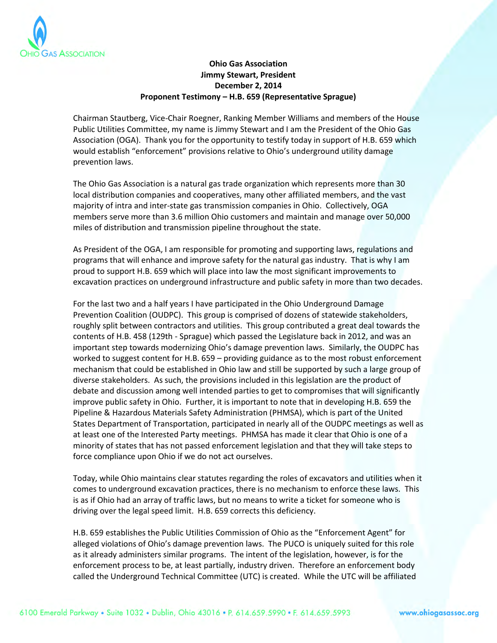

## **Ohio Gas Association Jimmy Stewart, President December 2, 2014 Proponent Testimony – H.B. 659 (Representative Sprague)**

Chairman Stautberg, Vice-Chair Roegner, Ranking Member Williams and members of the House Public Utilities Committee, my name is Jimmy Stewart and I am the President of the Ohio Gas Association (OGA). Thank you for the opportunity to testify today in support of H.B. 659 which would establish "enforcement" provisions relative to Ohio's underground utility damage prevention laws.

The Ohio Gas Association is a natural gas trade organization which represents more than 30 local distribution companies and cooperatives, many other affiliated members, and the vast majority of intra and inter-state gas transmission companies in Ohio. Collectively, OGA members serve more than 3.6 million Ohio customers and maintain and manage over 50,000 miles of distribution and transmission pipeline throughout the state.

As President of the OGA, I am responsible for promoting and supporting laws, regulations and programs that will enhance and improve safety for the natural gas industry. That is why I am proud to support H.B. 659 which will place into law the most significant improvements to excavation practices on underground infrastructure and public safety in more than two decades.

For the last two and a half years I have participated in the Ohio Underground Damage Prevention Coalition (OUDPC). This group is comprised of dozens of statewide stakeholders, roughly split between contractors and utilities. This group contributed a great deal towards the contents of H.B. 458 (129th - Sprague) which passed the Legislature back in 2012, and was an important step towards modernizing Ohio's damage prevention laws. Similarly, the OUDPC has worked to suggest content for H.B. 659 – providing guidance as to the most robust enforcement mechanism that could be established in Ohio law and still be supported by such a large group of diverse stakeholders. As such, the provisions included in this legislation are the product of debate and discussion among well intended parties to get to compromises that will significantly improve public safety in Ohio. Further, it is important to note that in developing H.B. 659 the Pipeline & Hazardous Materials Safety Administration (PHMSA), which is part of the United States Department of Transportation, participated in nearly all of the OUDPC meetings as well as at least one of the Interested Party meetings. PHMSA has made it clear that Ohio is one of a minority of states that has not passed enforcement legislation and that they will take steps to force compliance upon Ohio if we do not act ourselves.

Today, while Ohio maintains clear statutes regarding the roles of excavators and utilities when it comes to underground excavation practices, there is no mechanism to enforce these laws. This is as if Ohio had an array of traffic laws, but no means to write a ticket for someone who is driving over the legal speed limit. H.B. 659 corrects this deficiency.

H.B. 659 establishes the Public Utilities Commission of Ohio as the "Enforcement Agent" for alleged violations of Ohio's damage prevention laws. The PUCO is uniquely suited for this role as it already administers similar programs. The intent of the legislation, however, is for the enforcement process to be, at least partially, industry driven. Therefore an enforcement body called the Underground Technical Committee (UTC) is created. While the UTC will be affiliated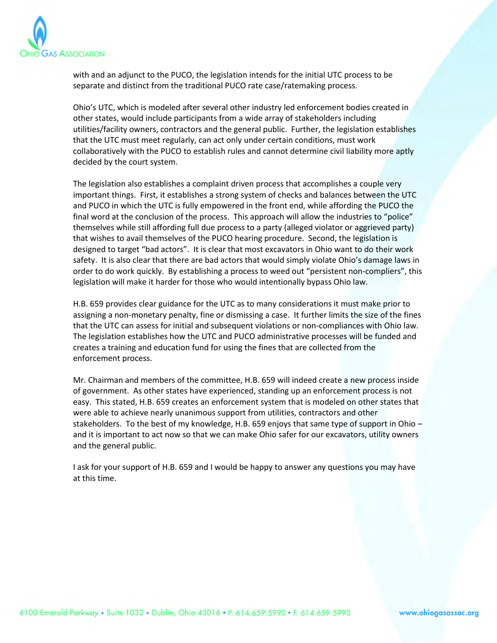

with and an adjunct to the PUCO, the legislation intends for the initial UTC process to be separate and distinct from the traditional PUCO rate case/ratemaking process.

Ohio's UTC, which is modeled after several other industry led enforcement bodies created in other states, would include participants from a wide array of stakeholders including utilities/facility owners, contractors and the general public. Further, the legislation establishes that the UTC must meet regularly, can act only under certain conditions, must work collaboratively with the PUCO to establish rules and cannot determine civil liability more aptly decided by the court system.

The legislation also establishes a complaint driven process that accomplishes a couple very important things. First, it establishes a strong system of checks and balances between the UTC and PUCO in which the UTC is fully empowered in the front end, while affording the PUCO the final word at the conclusion of the process. This approach will allow the industries to "police" themselves while still affording full due process to a party (alleged violator or aggrieved party) that wishes to avail themselves of the PUCO hearing procedure. Second, the legislation is designed to target "bad actors". It is clear that most excavators in Ohio want to do their work safety. It is also clear that there are bad actors that would simply violate Ohio's damage laws in order to do work quickly. By establishing a process to weed out "persistent non-compliers", this legislation will make it harder for those who would intentionally bypass Ohio law.

H.B. 659 provides clear guidance for the UTC as to many considerations it must make prior to assigning a non-monetary penalty, fine or dismissing a case. It further limits the size of the fines that the UTC can assess for initial and subsequent violations or non-compliances with Ohio law. The legislation establishes how the UTC and PUCO administrative processes will be funded and creates a training and education fund for using the fines that are collected from the enforcement process.

Mr. Chairman and members of the committee, H.B. 659 will indeed create a new process inside of government. As other states have experienced, standing up an enforcement process is not easy. This stated, H.B. 659 creates an enforcement system that is modeled on other states that were able to achieve nearly unanimous support from utilities, contractors and other stakeholders. To the best of my knowledge, H.B. 659 enjoys that same type of support in Ohio – and it is important to act now so that we can make Ohio safer for our excavators, utility owners and the general public.

I ask for your support of H.B. 659 and I would be happy to answer any questions you may have at this time.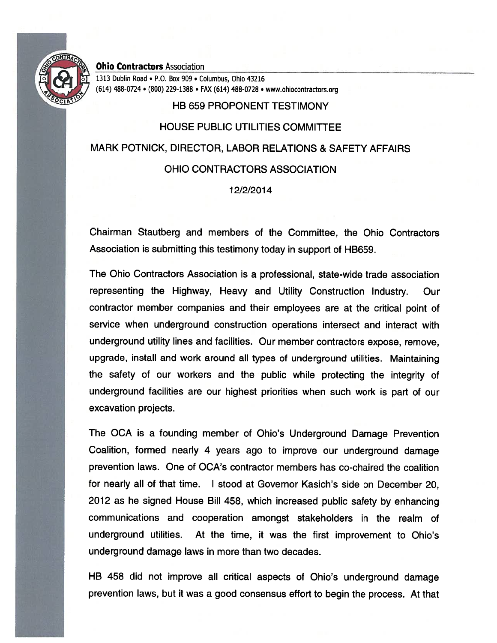

#### **Ohio Contractors Association**

1313 Dublin Road . P.O. Box 909 . Columbus, Ohio 43216 (614) 488-0724 · (800) 229-1388 · FAX (614) 488-0728 · www.ohiocontractors.org

# **HB 659 PROPONENT TESTIMONY**

# **HOUSE PUBLIC UTILITIES COMMITTEE** MARK POTNICK, DIRECTOR, LABOR RELATIONS & SAFETY AFFAIRS OHIO CONTRACTORS ASSOCIATION

### 12/2/2014

Chairman Stautberg and members of the Committee, the Ohio Contractors Association is submitting this testimony today in support of HB659.

The Ohio Contractors Association is a professional, state-wide trade association representing the Highway, Heavy and Utility Construction Industry. Our contractor member companies and their employees are at the critical point of service when underground construction operations intersect and interact with underground utility lines and facilities. Our member contractors expose, remove, upgrade, install and work around all types of underground utilities. Maintaining the safety of our workers and the public while protecting the integrity of underground facilities are our highest priorities when such work is part of our excavation projects.

The OCA is a founding member of Ohio's Underground Damage Prevention Coalition, formed nearly 4 years ago to improve our underground damage prevention laws. One of OCA's contractor members has co-chaired the coalition for nearly all of that time. I stood at Governor Kasich's side on December 20, 2012 as he signed House Bill 458, which increased public safety by enhancing communications and cooperation amongst stakeholders in the realm of underground utilities. At the time, it was the first improvement to Ohio's underground damage laws in more than two decades.

HB 458 did not improve all critical aspects of Ohio's underground damage prevention laws, but it was a good consensus effort to begin the process. At that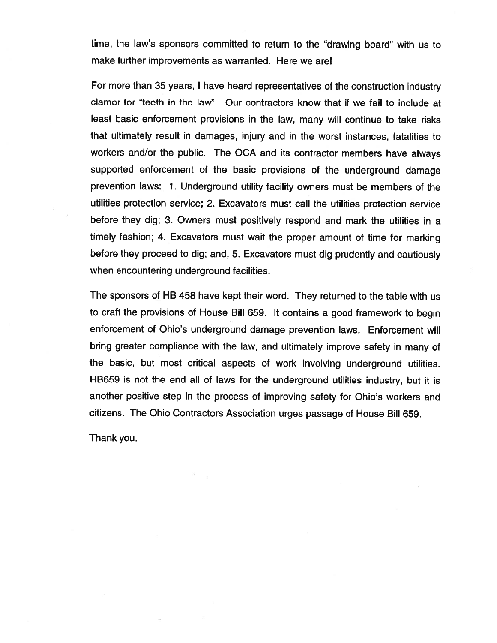time, the law's sponsors committed to return to the "drawing board" with us to make further improvements as warranted. Here we are!

For more than 35 years, I have heard representatives of the construction industry clamor for "teeth in the law". Our contractors know that if we fail to include at least basic enforcement provisions in the law, many will continue to take risks that ultimately result in damages, injury and in the worst instances, fatalities to workers and/or the public. The OCA and its contractor members have always supported enforcement of the basic provisions of the underground damage prevention laws: 1. Underground utility facility owners must be members of the utilities protection service; 2. Excavators must call the utilities protection service before they dig; 3. Owners must positively respond and mark the utilities in a timely fashion; 4. Excavators must wait the proper amount of time for marking before they proceed to dig; and, 5. Excavators must dig prudently and cautiously when encountering underground facilities.

The sponsors of HB 458 have kept their word. They returned to the table with us to craft the provisions of House Bill 659. It contains a good framework to begin enforcement of Ohio's underground damage prevention laws. Enforcement will bring greater compliance with the law, and ultimately improve safety in many of the basic, but most critical aspects of work involving underground utilities. HB659 is not the end all of laws for the underground utilities industry, but it is another positive step in the process of improving safety for Ohio's workers and citizens. The Ohio Contractors Association urges passage of House Bill 659.

Thank you.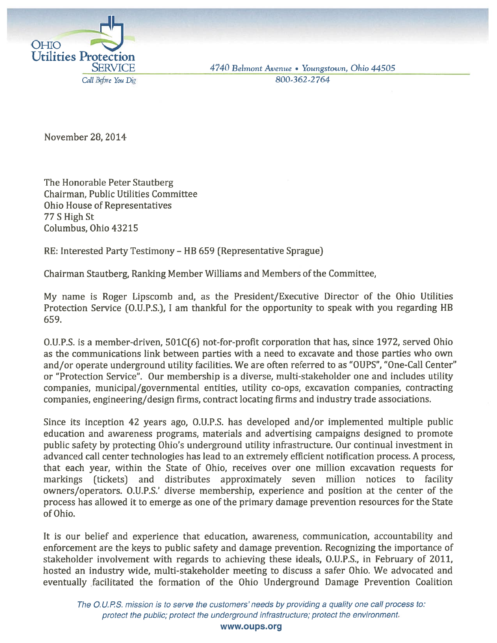

4740 Belmont Avenue • Youngstown, Ohio 44505 800-362-2764

November 28, 2014

The Honorable Peter Stautberg Chairman, Public Utilities Committee **Ohio House of Representatives** 77 S High St Columbus, Ohio 43215

RE: Interested Party Testimony - HB 659 (Representative Sprague)

Chairman Stautberg, Ranking Member Williams and Members of the Committee.

My name is Roger Lipscomb and, as the President/Executive Director of the Ohio Utilities Protection Service (O.U.P.S.), I am thankful for the opportunity to speak with you regarding HB 659.

O.U.P.S. is a member-driven, 501C(6) not-for-profit corporation that has, since 1972, served Ohio as the communications link between parties with a need to excavate and those parties who own and/or operate underground utility facilities. We are often referred to as "OUPS", "One-Call Center" or "Protection Service". Our membership is a diverse, multi-stakeholder one and includes utility companies, municipal/governmental entities, utility co-ops, excavation companies, contracting companies, engineering/design firms, contract locating firms and industry trade associations.

Since its inception 42 years ago, O.U.P.S. has developed and/or implemented multiple public education and awareness programs, materials and advertising campaigns designed to promote public safety by protecting Ohio's underground utility infrastructure. Our continual investment in advanced call center technologies has lead to an extremely efficient notification process. A process, that each year, within the State of Ohio, receives over one million excavation requests for markings (tickets) and distributes approximately seven million notices to facility owners/operators. O.U.P.S.' diverse membership, experience and position at the center of the process has allowed it to emerge as one of the primary damage prevention resources for the State of Ohio.

It is our belief and experience that education, awareness, communication, accountability and enforcement are the keys to public safety and damage prevention. Recognizing the importance of stakeholder involvement with regards to achieving these ideals, O.U.P.S., in February of 2011, hosted an industry wide, multi-stakeholder meeting to discuss a safer Ohio. We advocated and eventually facilitated the formation of the Ohio Underground Damage Prevention Coalition

The O.U.P.S. mission is to serve the customers' needs by providing a quality one call process to: protect the public; protect the underground infrastructure; protect the environment.

www.oups.org